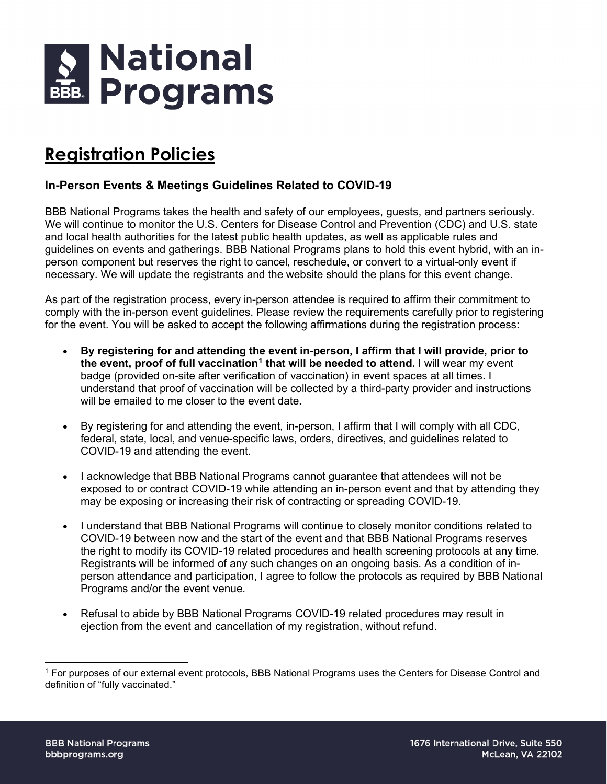

## **Registration Policies**

## **In-Person Events & Meetings Guidelines Related to COVID-19**

BBB National Programs takes the health and safety of our employees, guests, and partners seriously. We will continue to monitor the U.S. Centers for Disease Control and Prevention (CDC) and U.S. state and local health authorities for the latest public health updates, as well as applicable rules and guidelines on events and gatherings. BBB National Programs plans to hold this event hybrid, with an inperson component but reserves the right to cancel, reschedule, or convert to a virtual-only event if necessary. We will update the registrants and the website should the plans for this event change.

As part of the registration process, every in-person attendee is required to affirm their commitment to comply with the in-person event guidelines. Please review the requirements carefully prior to registering for the event. You will be asked to accept the following affirmations during the registration process:

- **By registering for and attending the event in-person, I affirm that I will provide, prior to the event, proof of full vaccination[1](#page-0-0) that will be needed to attend.** I will wear my event badge (provided on-site after verification of vaccination) in event spaces at all times. I understand that proof of vaccination will be collected by a third-party provider and instructions will be emailed to me closer to the event date.
- By registering for and attending the event, in-person, I affirm that I will comply with all CDC, federal, state, local, and venue-specific laws, orders, directives, and guidelines related to COVID-19 and attending the event.
- I acknowledge that BBB National Programs cannot guarantee that attendees will not be exposed to or contract COVID-19 while attending an in-person event and that by attending they may be exposing or increasing their risk of contracting or spreading COVID-19.
- I understand that BBB National Programs will continue to closely monitor conditions related to COVID-19 between now and the start of the event and that BBB National Programs reserves the right to modify its COVID-19 related procedures and health screening protocols at any time. Registrants will be informed of any such changes on an ongoing basis. As a condition of inperson attendance and participation, I agree to follow the protocols as required by BBB National Programs and/or the event venue.
- Refusal to abide by BBB National Programs COVID-19 related procedures may result in ejection from the event and cancellation of my registration, without refund.

<span id="page-0-0"></span><sup>1</sup> For purposes of our external event protocols, BBB National Programs uses the Centers for Disease Control and definition of "fully vaccinated."